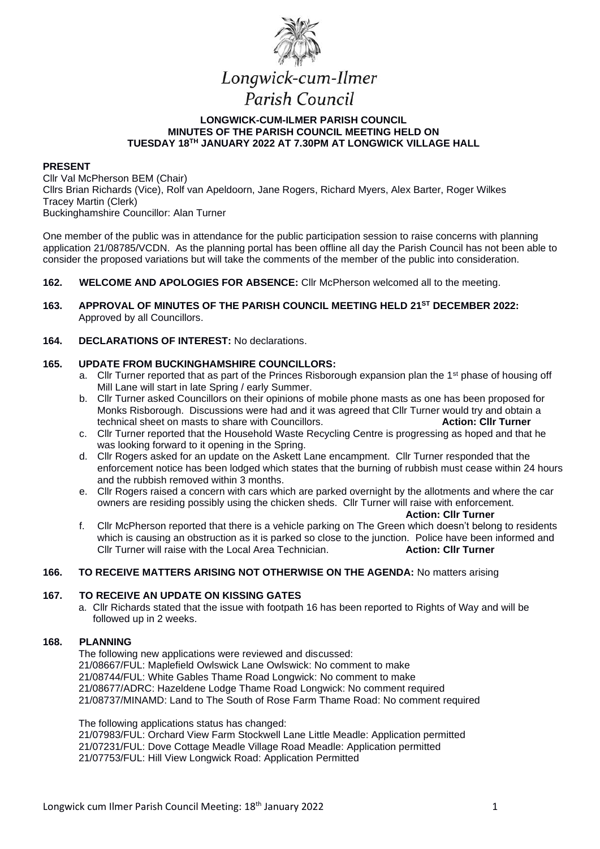

## **LONGWICK-CUM-ILMER PARISH COUNCIL MINUTES OF THE PARISH COUNCIL MEETING HELD ON TUESDAY 18TH JANUARY 2022 AT 7.30PM AT LONGWICK VILLAGE HALL**

#### **PRESENT**

Cllr Val McPherson BEM (Chair) Cllrs Brian Richards (Vice), Rolf van Apeldoorn, Jane Rogers, Richard Myers, Alex Barter, Roger Wilkes Tracey Martin (Clerk) Buckinghamshire Councillor: Alan Turner

One member of the public was in attendance for the public participation session to raise concerns with planning application 21/08785/VCDN. As the planning portal has been offline all day the Parish Council has not been able to consider the proposed variations but will take the comments of the member of the public into consideration.

#### **162. WELCOME AND APOLOGIES FOR ABSENCE:** Cllr McPherson welcomed all to the meeting.

**163. APPROVAL OF MINUTES OF THE PARISH COUNCIL MEETING HELD 21ST DECEMBER 2022:** Approved by all Councillors.

## **164. DECLARATIONS OF INTEREST:** No declarations.

#### **165. UPDATE FROM BUCKINGHAMSHIRE COUNCILLORS:**

- a. Cllr Turner reported that as part of the Princes Risborough expansion plan the 1<sup>st</sup> phase of housing off Mill Lane will start in late Spring / early Summer.
- b. Cllr Turner asked Councillors on their opinions of mobile phone masts as one has been proposed for Monks Risborough. Discussions were had and it was agreed that Cllr Turner would try and obtain a technical sheet on masts to share with Councillors. **Action: Cllr Turner**
- c. Cllr Turner reported that the Household Waste Recycling Centre is progressing as hoped and that he was looking forward to it opening in the Spring.
- d. Cllr Rogers asked for an update on the Askett Lane encampment. Cllr Turner responded that the enforcement notice has been lodged which states that the burning of rubbish must cease within 24 hours and the rubbish removed within 3 months.
- e. Cllr Rogers raised a concern with cars which are parked overnight by the allotments and where the car owners are residing possibly using the chicken sheds. Cllr Turner will raise with enforcement.

**Action: Cllr Turner**

f. Cllr McPherson reported that there is a vehicle parking on The Green which doesn't belong to residents which is causing an obstruction as it is parked so close to the junction. Police have been informed and Cllr Turner will raise with the Local Area Technician. **Action: Cllr Turner**

#### **166. TO RECEIVE MATTERS ARISING NOT OTHERWISE ON THE AGENDA:** No matters arising

### **167. TO RECEIVE AN UPDATE ON KISSING GATES**

a. Cllr Richards stated that the issue with footpath 16 has been reported to Rights of Way and will be followed up in 2 weeks.

#### **168. PLANNING**

The following new applications were reviewed and discussed: 21/08667/FUL: Maplefield Owlswick Lane Owlswick: No comment to make 21/08744/FUL: White Gables Thame Road Longwick: No comment to make 21/08677/ADRC: Hazeldene Lodge Thame Road Longwick: No comment required 21/08737/MINAMD: Land to The South of Rose Farm Thame Road: No comment required

The following applications status has changed:

21/07983/FUL: Orchard View Farm Stockwell Lane Little Meadle: Application permitted 21/07231/FUL: Dove Cottage Meadle Village Road Meadle: Application permitted 21/07753/FUL: Hill View Longwick Road: Application Permitted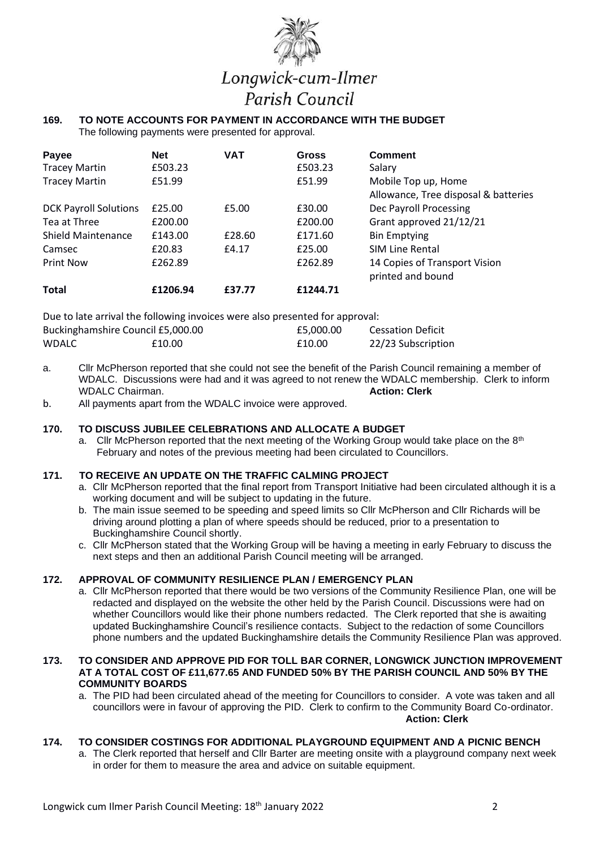

# Longwick-cum-Ilmer Parish Council

#### **169. TO NOTE ACCOUNTS FOR PAYMENT IN ACCORDANCE WITH THE BUDGET**  The following payments were presented for approval.

| Payee<br><b>Tracey Martin</b> | <b>Net</b><br>£503.23 | <b>VAT</b> | <b>Gross</b><br>£503.23 | <b>Comment</b><br>Salary                                    |
|-------------------------------|-----------------------|------------|-------------------------|-------------------------------------------------------------|
| <b>Tracey Martin</b>          | £51.99                |            | £51.99                  | Mobile Top up, Home<br>Allowance, Tree disposal & batteries |
| <b>DCK Payroll Solutions</b>  | £25.00                | £5.00      | £30.00                  | Dec Payroll Processing                                      |
| Tea at Three                  | £200.00               |            | £200.00                 | Grant approved 21/12/21                                     |
| <b>Shield Maintenance</b>     | £143.00               | £28.60     | £171.60                 | <b>Bin Emptying</b>                                         |
| Camsec                        | £20.83                | £4.17      | £25.00                  | <b>SIM Line Rental</b>                                      |
| <b>Print Now</b>              | £262.89               |            | £262.89                 | 14 Copies of Transport Vision<br>printed and bound          |
| <b>Total</b>                  | £1206.94              | £37.77     | £1244.71                |                                                             |

Due to late arrival the following invoices were also presented for approval:

| Buckinghamshire Council £5,000.00 |        | £5.000.00 | <b>Cessation Deficit</b> |
|-----------------------------------|--------|-----------|--------------------------|
| <b>WDALC</b>                      | £10.00 | £10.00    | 22/23 Subscription       |

- a. Cllr McPherson reported that she could not see the benefit of the Parish Council remaining a member of WDALC. Discussions were had and it was agreed to not renew the WDALC membership. Clerk to inform WDALC Chairman. **WDALC Chairman.**
- b. All payments apart from the WDALC invoice were approved.

## **170. TO DISCUSS JUBILEE CELEBRATIONS AND ALLOCATE A BUDGET**

a. Cllr McPherson reported that the next meeting of the Working Group would take place on the  $8<sup>th</sup>$ February and notes of the previous meeting had been circulated to Councillors.

## **171. TO RECEIVE AN UPDATE ON THE TRAFFIC CALMING PROJECT**

- a. Cllr McPherson reported that the final report from Transport Initiative had been circulated although it is a working document and will be subject to updating in the future.
- b. The main issue seemed to be speeding and speed limits so Cllr McPherson and Cllr Richards will be driving around plotting a plan of where speeds should be reduced, prior to a presentation to Buckinghamshire Council shortly.
- c. Cllr McPherson stated that the Working Group will be having a meeting in early February to discuss the next steps and then an additional Parish Council meeting will be arranged.

## **172. APPROVAL OF COMMUNITY RESILIENCE PLAN / EMERGENCY PLAN**

a. Cllr McPherson reported that there would be two versions of the Community Resilience Plan, one will be redacted and displayed on the website the other held by the Parish Council. Discussions were had on whether Councillors would like their phone numbers redacted. The Clerk reported that she is awaiting updated Buckinghamshire Council's resilience contacts. Subject to the redaction of some Councillors phone numbers and the updated Buckinghamshire details the Community Resilience Plan was approved.

## **173. TO CONSIDER AND APPROVE PID FOR TOLL BAR CORNER, LONGWICK JUNCTION IMPROVEMENT AT A TOTAL COST OF £11,677.65 AND FUNDED 50% BY THE PARISH COUNCIL AND 50% BY THE COMMUNITY BOARDS**

a. The PID had been circulated ahead of the meeting for Councillors to consider. A vote was taken and all councillors were in favour of approving the PID. Clerk to confirm to the Community Board Co-ordinator. **Action: Clerk** 

## **174. TO CONSIDER COSTINGS FOR ADDITIONAL PLAYGROUND EQUIPMENT AND A PICNIC BENCH**

a. The Clerk reported that herself and Cllr Barter are meeting onsite with a playground company next week in order for them to measure the area and advice on suitable equipment.